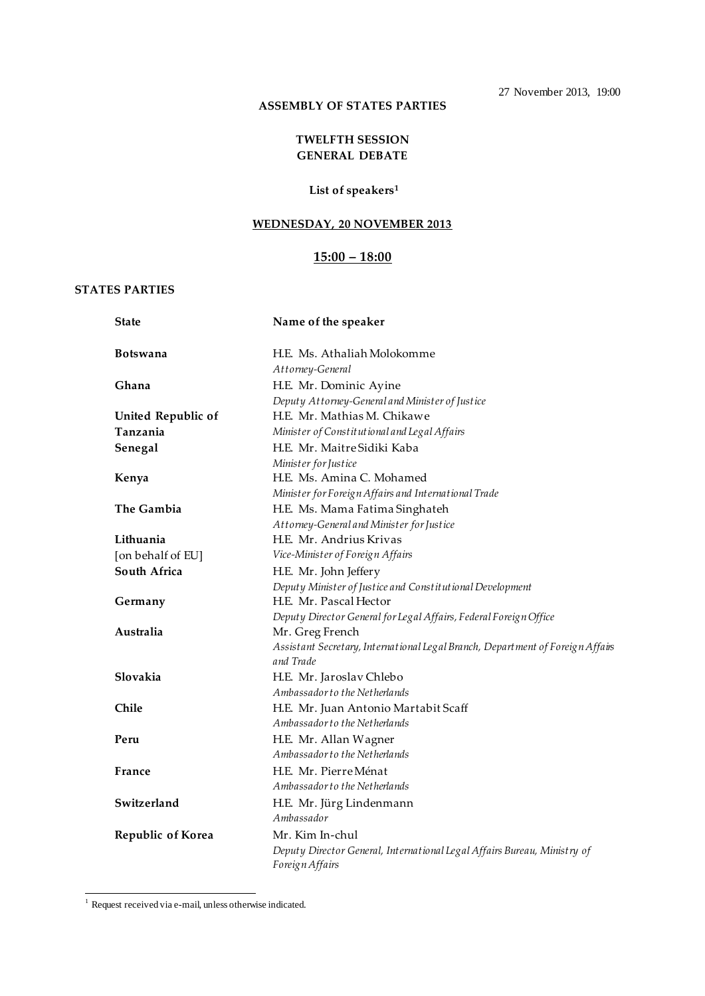# **ASSEMBLY OF STATES PARTIES**

### **TWELFTH SESSION GENERAL DEBATE**

# **List of speakers<sup>1</sup>**

# **WEDNESDAY, 20 NOVEMBER 2013**

# **15:00 – 18:00**

#### **STATES PARTIES**

| <b>State</b>       | Name of the speaker                                                                         |
|--------------------|---------------------------------------------------------------------------------------------|
| <b>Botswana</b>    | H.E. Ms. Athaliah Molokomme                                                                 |
|                    | Attorney-General                                                                            |
| Ghana              | H.E. Mr. Dominic Ayine                                                                      |
|                    | Deputy Attorney-General and Minister of Justice                                             |
| United Republic of | H.E. Mr. Mathias M. Chikawe                                                                 |
| Tanzania           | Minister of Constitutional and Legal Affairs                                                |
| Senegal            | H.E. Mr. Maitre Sidiki Kaba                                                                 |
|                    | Minister for Justice                                                                        |
| Kenya              | H.E. Ms. Amina C. Mohamed                                                                   |
|                    | Minister for Foreign Affairs and International Trade                                        |
| The Gambia         | H.E. Ms. Mama Fatima Singhateh                                                              |
|                    | Attorney-General and Minister for Justice                                                   |
| Lithuania          | H.E. Mr. Andrius Krivas                                                                     |
| [on behalf of EU]  | Vice-Minister of Foreign Affairs                                                            |
| South Africa       | H.E. Mr. John Jeffery                                                                       |
|                    | Deputy Minister of Justice and Constitutional Development                                   |
| Germany            | H.E. Mr. Pascal Hector                                                                      |
|                    | Deputy Director General for Legal Affairs, Federal Foreign Office                           |
| Australia          | Mr. Greg French                                                                             |
|                    | Assistant Secretary, International Legal Branch, Department of Foreign Affairs<br>and Trade |
| Slovakia           | H.E. Mr. Jaroslav Chlebo                                                                    |
|                    | Ambassador to the Netherlands                                                               |
| Chile              | H.E. Mr. Juan Antonio Martabit Scaff                                                        |
|                    | Ambassador to the Netherlands                                                               |
| Peru               | H.E. Mr. Allan Wagner                                                                       |
|                    | Ambassador to the Netherlands                                                               |
| France             | H.E. Mr. Pierre Ménat                                                                       |
|                    | Ambassador to the Netherlands                                                               |
| Switzerland        | H.E. Mr. Jürg Lindenmann                                                                    |
|                    | Ambassador                                                                                  |
| Republic of Korea  | Mr. Kim In-chul                                                                             |
|                    | Deputy Director General, International Legal Affairs Bureau, Ministry of<br>Foreign Affairs |

 $1$  Request received via e-mail, unless otherwise indicated.

 $\overline{a}$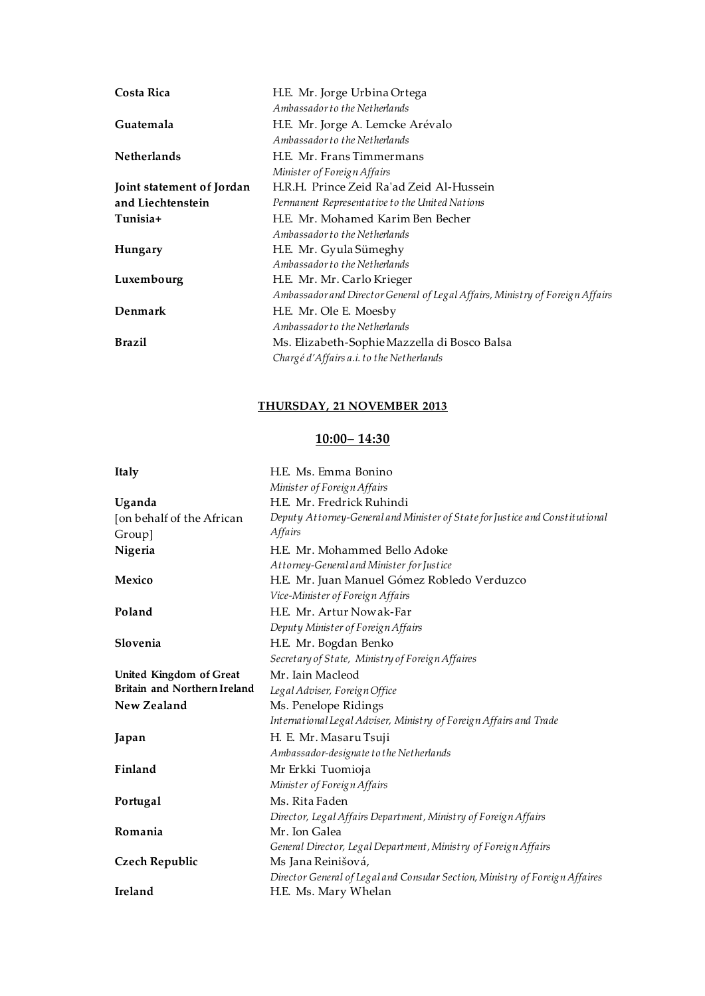| <b>Costa Rica</b>         | H.E. Mr. Jorge Urbina Ortega                                                  |
|---------------------------|-------------------------------------------------------------------------------|
|                           | Ambassador to the Netherlands                                                 |
| Guatemala                 | H.E. Mr. Jorge A. Lemcke Arévalo                                              |
|                           | Ambassador to the Netherlands                                                 |
| <b>Netherlands</b>        | H.E. Mr. Frans Timmermans                                                     |
|                           | Minister of Foreign Affairs                                                   |
| Joint statement of Jordan | H.R.H. Prince Zeid Ra'ad Zeid Al-Hussein                                      |
| and Liechtenstein         | Permanent Representative to the United Nations                                |
| Tunisia+                  | H.E. Mr. Mohamed Karim Ben Becher                                             |
|                           | Ambassador to the Netherlands                                                 |
| Hungary                   | H.E. Mr. Gyula Sümeghy                                                        |
|                           | Ambassador to the Netherlands                                                 |
| Luxembourg                | H.E. Mr. Mr. Carlo Krieger                                                    |
|                           | Ambassador and Director General of Legal Affairs, Ministry of Foreign Affairs |
| <b>Denmark</b>            | H.E. Mr. Ole E. Moesby                                                        |
|                           | Ambassador to the Netherlands                                                 |
| <b>Brazil</b>             | Ms. Elizabeth-Sophie Mazzella di Bosco Balsa                                  |
|                           | Chargé d'Affairs a.i. to the Netherlands                                      |
|                           |                                                                               |

# **THURSDAY, 21 NOVEMBER 2013**

# **10:00– 14:30**

| H.E. Ms. Emma Bonino                                                         |  |
|------------------------------------------------------------------------------|--|
| Minister of Foreign Affairs                                                  |  |
| H.E. Mr. Fredrick Ruhindi                                                    |  |
| Deputy Attorney-General and Minister of State for Justice and Constitutional |  |
| Affairs                                                                      |  |
| H.E. Mr. Mohammed Bello Adoke                                                |  |
| Attorney-General and Minister for Justice                                    |  |
| H.E. Mr. Juan Manuel Gómez Robledo Verduzco                                  |  |
| Vice-Minister of Foreign Affairs                                             |  |
| H.E. Mr. Artur Nowak-Far                                                     |  |
| Deputy Minister of Foreign Affairs                                           |  |
| H.E. Mr. Bogdan Benko                                                        |  |
| Secretary of State, Ministry of Foreign Affaires                             |  |
| Mr. Iain Macleod                                                             |  |
| Legal Adviser, Foreign Office                                                |  |
| Ms. Penelope Ridings                                                         |  |
| International Legal Adviser, Ministry of Foreign Affairs and Trade           |  |
| H. E. Mr. Masaru Tsuji                                                       |  |
| Ambassador-designate to the Netherlands                                      |  |
| Mr Erkki Tuomioja                                                            |  |
| Minister of Foreign Affairs                                                  |  |
| Ms. Rita Faden                                                               |  |
| Director, Legal Affairs Department, Ministry of Foreign Affairs              |  |
| Mr. Ion Galea                                                                |  |
| General Director, Legal Department, Ministry of Foreign Affairs              |  |
| Ms Jana Reinišová,                                                           |  |
| Director General of Legal and Consular Section, Ministry of Foreign Affaires |  |
| H.E. Ms. Mary Whelan                                                         |  |
|                                                                              |  |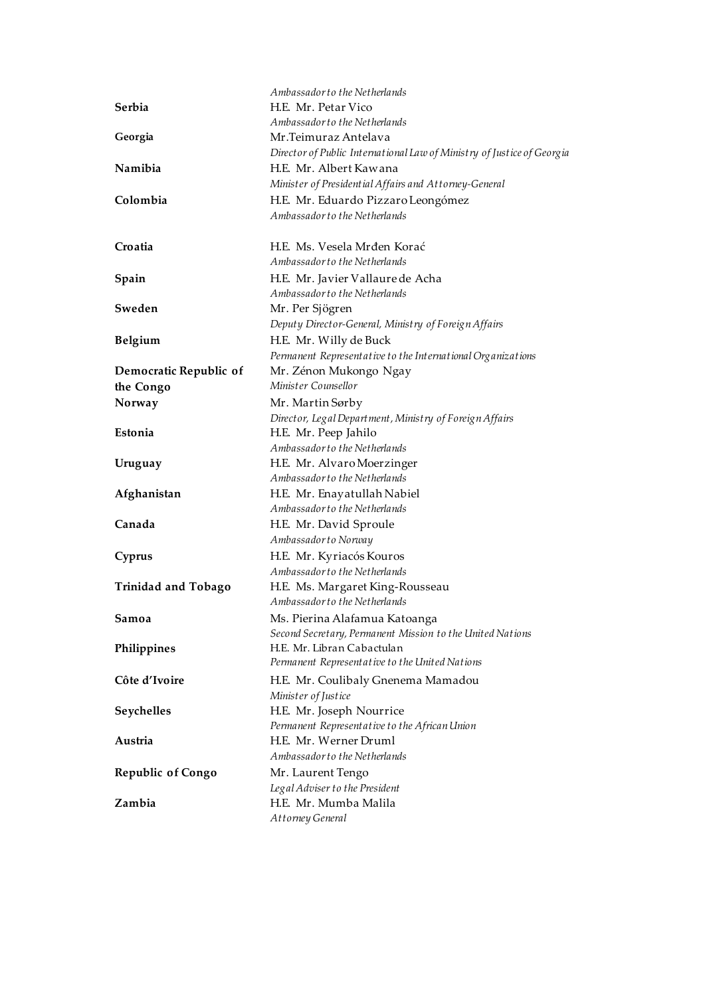|                            | Ambassador to the Netherlands                                          |
|----------------------------|------------------------------------------------------------------------|
| Serbia                     | H.E. Mr. Petar Vico                                                    |
|                            | Ambassador to the Netherlands                                          |
| Georgia                    | Mr.Teimuraz Antelava                                                   |
|                            | Director of Public International Law of Ministry of Justice of Georgia |
| Namibia                    | H.E. Mr. Albert Kawana                                                 |
|                            | Minister of Presidential Affairs and Attorney-General                  |
| Colombia                   | H.E. Mr. Eduardo Pizzaro Leongómez                                     |
|                            | Ambassador to the Netherlands                                          |
| Croatia                    | H.E. Ms. Vesela Mrđen Korać                                            |
|                            | Ambassador to the Netherlands                                          |
| Spain                      | H.E. Mr. Javier Vallaure de Acha                                       |
|                            | Ambassador to the Netherlands                                          |
| Sweden                     | Mr. Per Sjögren                                                        |
|                            | Deputy Director-General, Ministry of Foreign Affairs                   |
| Belgium                    | H.E. Mr. Willy de Buck                                                 |
|                            | Permanent Representative to the International Organizations            |
| Democratic Republic of     | Mr. Zénon Mukongo Ngay                                                 |
| the Congo                  | Minister Counsellor                                                    |
| Norway                     | Mr. Martin Sørby                                                       |
|                            | Director, Legal Department, Ministry of Foreign Affairs                |
| Estonia                    | H.E. Mr. Peep Jahilo                                                   |
|                            | Ambassador to the Netherlands                                          |
| Uruguay                    | H.E. Mr. Alvaro Moerzinger                                             |
|                            | Ambassador to the Netherlands                                          |
| Afghanistan                | H.E. Mr. Enayatullah Nabiel                                            |
|                            | Ambassador to the Netherlands                                          |
| Canada                     | H.E. Mr. David Sproule                                                 |
|                            | Ambassador to Norway                                                   |
| Cyprus                     | H.E. Mr. Kyriacós Kouros                                               |
|                            | Ambassador to the Netherlands                                          |
| <b>Trinidad and Tobago</b> | H.E. Ms. Margaret King-Rousseau                                        |
|                            | Ambassador to the Netherlands                                          |
| Samoa                      | Ms. Pierina Alafamua Katoanga                                          |
|                            | Second Secretary, Permanent Mission to the United Nations              |
| Philippines                | H.E. Mr. Libran Cabactulan                                             |
|                            | Permanent Representative to the United Nations                         |
| Côte d'Ivoire              | H.E. Mr. Coulibaly Gnenema Mamadou                                     |
|                            | Minister of Justice                                                    |
| Seychelles                 | H.E. Mr. Joseph Nourrice                                               |
|                            | Permanent Representative to the African Union                          |
| Austria                    | H.E. Mr. Werner Druml                                                  |
|                            | Ambassador to the Netherlands                                          |
| <b>Republic of Congo</b>   | Mr. Laurent Tengo                                                      |
|                            | Legal Adviser to the President                                         |
| Zambia                     | H.E. Mr. Mumba Malila                                                  |
|                            | Attorney General                                                       |